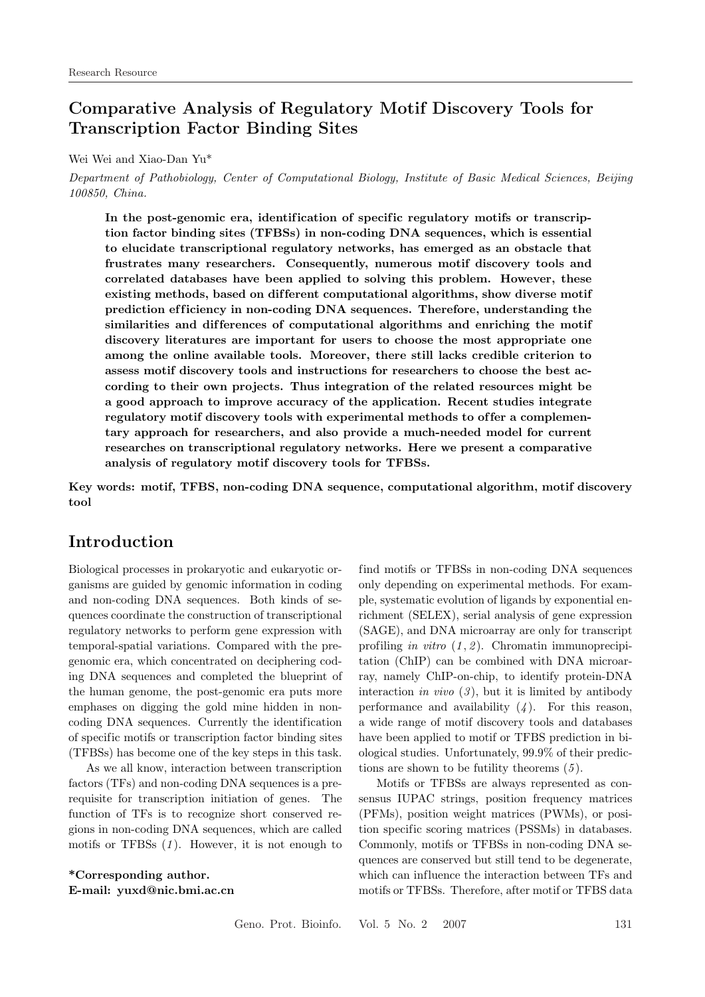# **Comparative Analysis of Regulatory Motif Discovery Tools for Transcription Factor Binding Sites**

Wei Wei and Xiao-Dan Yu\*

*Department of Pathobiology, Center of Computational Biology, Institute of Basic Medical Sciences, Beijing 100850, China.*

In the post-genomic era, identification of specific regulatory motifs or transcrip**tion factor binding sites (TFBSs) in non-coding DNA sequences, which is essential to elucidate transcriptional regulatory networks, has emerged as an obstacle that frustrates many researchers. Consequently, numerous motif discovery tools and correlated databases have been applied to solving this problem. However, these** existing methods, based on different computational algorithms, show diverse motif prediction efficiency in non-coding DNA sequences. Therefore, understanding the similarities and differences of computational algorithms and enriching the motif **discovery literatures are important for users to choose the most appropriate one among the online available tools. Moreover, there still lacks credible criterion to assess motif discovery tools and instructions for researchers to choose the best according to their own projects. Thus integration of the related resources might be a good approach to improve accuracy of the application. Recent studies integrate** regulatory motif discovery tools with experimental methods to offer a complemen**tary approach for researchers, and also provide a much-needed model for current researches on transcriptional regulatory networks. Here we present a comparative analysis of regulatory motif discovery tools for TFBSs.**

**Key words: motif, TFBS, non-coding DNA sequence, computational algorithm, motif discovery tool**

## **Introduction**

Biological processes in prokaryotic and eukaryotic organisms are guided by genomic information in coding and non-coding DNA sequences. Both kinds of sequences coordinate the construction of transcriptional regulatory networks to perform gene expression with temporal-spatial variations. Compared with the pregenomic era, which concentrated on deciphering coding DNA sequences and completed the blueprint of the human genome, the post-genomic era puts more emphases on digging the gold mine hidden in noncoding DNA sequences. Currently the identification of specific motifs or transcription factor binding sites (TFBSs) has become one of the key steps in this task.

As we all know, interaction between transcription factors (TFs) and non-coding DNA sequences is a prerequisite for transcription initiation of genes. The function of TFs is to recognize short conserved regions in non-coding DNA sequences, which are called motifs or TFBSs (*1* ). However, it is not enough to

**\*Corresponding author. E-mail: yuxd@nic.bmi.ac.cn** find motifs or TFBSs in non-coding DNA sequences only depending on experimental methods. For example, systematic evolution of ligands by exponential enrichment (SELEX), serial analysis of gene expression (SAGE), and DNA microarray are only for transcript profiling *in vitro* (*1 , 2* ). Chromatin immunoprecipitation (ChIP) can be combined with DNA microarray, namely ChIP-on-chip, to identify protein-DNA interaction *in vivo* (*3* ), but it is limited by antibody performance and availability  $(4)$ . For this reason, a wide range of motif discovery tools and databases have been applied to motif or TFBS prediction in biological studies. Unfortunately, 99.9% of their predictions are shown to be futility theorems (*5* ).

Motifs or TFBSs are always represented as consensus IUPAC strings, position frequency matrices (PFMs), position weight matrices (PWMs), or position specific scoring matrices (PSSMs) in databases. Commonly, motifs or TFBSs in non-coding DNA sequences are conserved but still tend to be degenerate, which can influence the interaction between TFs and motifs or TFBSs. Therefore, after motif or TFBS data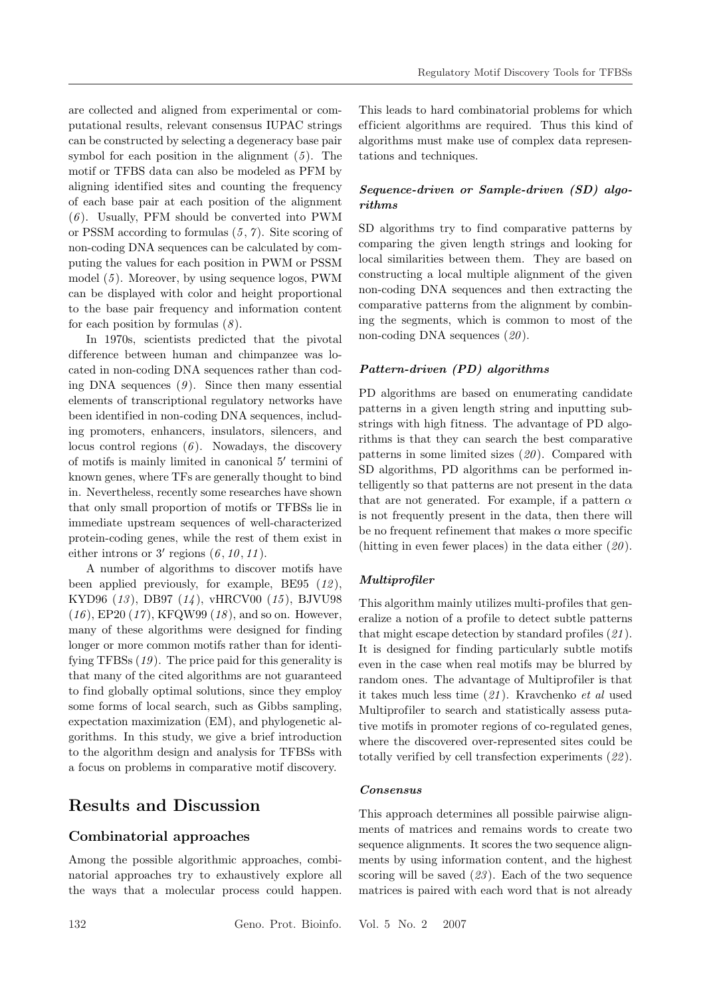are collected and aligned from experimental or computational results, relevant consensus IUPAC strings can be constructed by selecting a degeneracy base pair symbol for each position in the alignment (*5* ). The motif or TFBS data can also be modeled as PFM by aligning identified sites and counting the frequency of each base pair at each position of the alignment (*6* ). Usually, PFM should be converted into PWM or PSSM according to formulas (*5 , 7* ). Site scoring of non-coding DNA sequences can be calculated by computing the values for each position in PWM or PSSM model (*5* ). Moreover, by using sequence logos, PWM can be displayed with color and height proportional to the base pair frequency and information content for each position by formulas (*8* ).

In 1970s, scientists predicted that the pivotal dif ference between human and chimpanzee was located in non-coding DNA sequences rather than coding DNA sequences (*9* ). Since then many essential elements of transcriptional regulatory networks have been identified in non-coding DNA sequences, including promoters, enhancers, insulators, silencers, and locus control regions (*6* ). Nowadays, the discovery of motifs is mainly limited in canonical  $5'$  termini of known genes, where TFs are generally thought to bind in. Nevertheless, recently some researches have shown that only small proportion of motifs or TFBSs lie in immediate upstream sequences of well-characterized protein-coding genes, while the rest of them exist in either introns or 3' regions  $(6, 10, 11)$ .

A number of algorithms to discover motifs have been applied previously, for example, BE95 (*12* ), KYD96 (*13* ), DB97 (*14* ), vHRCV00 (*15* ), BJVU98 (*16* ), EP20 (*17* ), KFQW99 (*18* ), and so on. However, many of these algorithms were designed for finding longer or more common motifs rather than for identifying TFBSs (*19* ). The price paid for this generality is that many of the cited algorithms are not guaranteed to find globally optimal solutions, since they employ some forms of local search, such as Gibbs sampling, expectation maximization (EM), and phylogenetic algorithms. In this study, we give a brief introduction to the algorithm design and analysis for TFBSs with a focus on problems in comparative motif discovery.

# **Results and Discussion**

## **Combinatorial approaches**

Among the possible algorithmic approaches, combinatorial approaches try to exhaustively explore all the ways that a molecular process could happen.

This leads to hard combinatorial problems for which ef ficient algorithms are required. Thus this kind of algorithms must make use of complex data representations and techniques.

## *Sequence-driven or Sample-driven (SD) algorithms*

SD algorithms try to find comparative patterns by comparing the given length strings and looking for local similarities between them. They are based on constructing a local multiple alignment of the given non-coding DNA sequences and then extracting the comparative patterns from the alignment by combining the segments, which is common to most of the non-coding DNA sequences (*20* ).

### *Pattern-driven (PD) algorithms*

PD algorithms are based on enumerating candidate patterns in a given length string and inputting substrings with high fitness. The advantage of PD algorithms is that they can search the best comparative patterns in some limited sizes (*20* ). Compared with SD algorithms, PD algorithms can be performed intelligently so that patterns are not present in the data that are not generated. For example, if a pattern *α* is not frequently present in the data, then there will be no frequent refinement that makes  $\alpha$  more specific (hitting in even fewer places) in the data either (*20* ).

### *Multiprofiler*

This algorithm mainly utilizes multi-profiles that generalize a notion of a profile to detect subtle patterns that might escape detection by standard profiles (*21* ). It is designed for finding particularly subtle motifs even in the case when real motifs may be blurred by random ones. The advantage of Multiprofiler is that it takes much less time (*21* ). Kravchenko *et al* used Multiprofiler to search and statistically assess putative motifs in promoter regions of co-regulated genes, where the discovered over-represented sites could be totally verified by cell transfection experiments (*22* ).

#### *Consensus*

This approach determines all possible pairwise alignments of matrices and remains words to create two sequence alignments. It scores the two sequence alignments by using information content, and the highest scoring will be saved (*23* ). Each of the two sequence matrices is paired with each word that is not already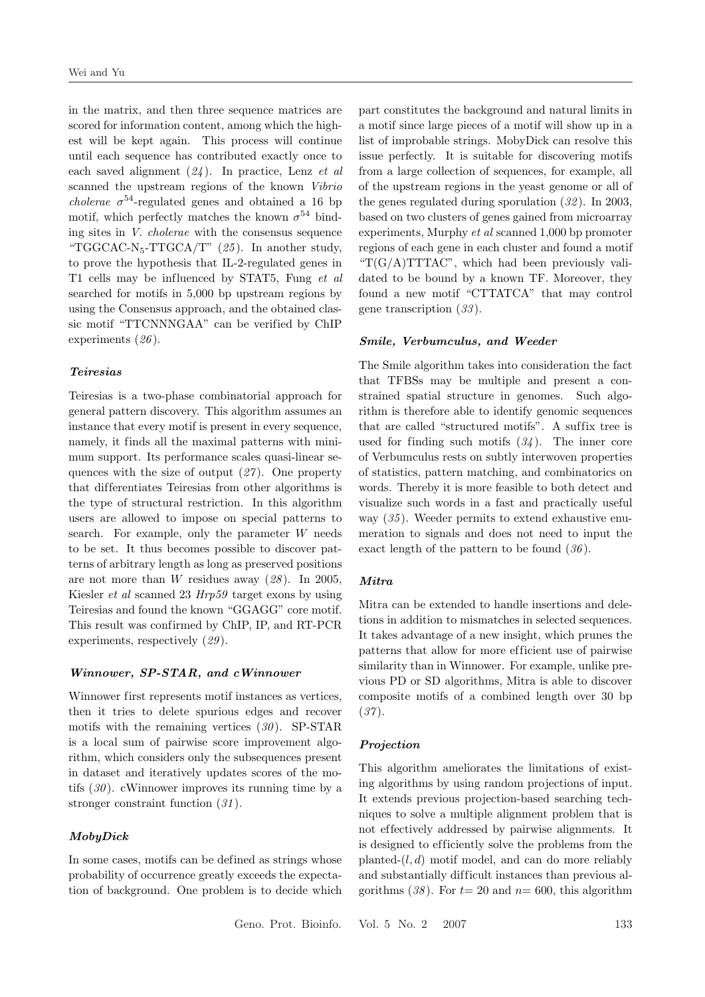in the matrix, and then three sequence matrices are scored for information content, among which the highest will be kept again. This process will continue until each sequence has contributed exactly once to each saved alignment (*24* ). In practice, Lenz *et al* scanned the upstream regions of the known *Vibrio cholerae*  $\sigma^{54}$ -regulated genes and obtained a 16 bp motif, which perfectly matches the known  $\sigma^{54}$  binding sites in *V. cholerae* with the consensus sequence "TGGCAC-N5-TTGCA/T" (*25* ). In another study, to prove the hypothesis that IL-2-regulated genes in T1 cells may be influenced by STAT5, Fung *et al* searched for motifs in 5,000 bp upstream regions by using the Consensus approach, and the obtained classic motif "TTCNNNGAA" can be verified by ChIP experiments (*26* ).

#### *Teiresias*

Teiresias is a two-phase combinatorial approach for general pattern discovery. This algorithm assumes an instance that every motif is present in every sequence, namely, it finds all the maximal patterns with minimum support. Its performance scales quasi-linear sequences with the size of output (*27* ). One property that dif ferentiates Teiresias from other algorithms is the type of structural restriction. In this algorithm users are allowed to impose on special patterns to search. For example, only the parameter *W* needs to be set. It thus becomes possible to discover patterns of arbitrary length as long as preserved positions are not more than *W* residues away (*28* ). In 2005, Kiesler *et al* scanned 23 *Hrp59* target exons by using Teiresias and found the known "GGAGG" core motif. This result was confirmed by ChIP, IP, and RT-PCR experiments, respectively (*29* ).

#### *Winnower, SP-STAR, and cWinnower*

Winnower first represents motif instances as vertices, then it tries to delete spurious edges and recover motifs with the remaining vertices (*30* ). SP-STAR is a local sum of pairwise score improvement algorithm, which considers only the subsequences present in dataset and iteratively updates scores of the motifs (*30* ). cWinnower improves its running time by a stronger constraint function (*31* ).

#### *MobyDick*

In some cases, motifs can be defined as strings whose probability of occurrence greatly exceeds the expectation of background. One problem is to decide which part constitutes the background and natural limits in a motif since large pieces of a motif will show up in a list of improbable strings. MobyDick can resolve this issue perfectly. It is suitable for discovering motifs from a large collection of sequences, for example, all of the upstream regions in the yeast genome or all of the genes regulated during sporulation (*32* ). In 2003, based on two clusters of genes gained from microarray experiments, Murphy *et al* scanned 1,000 bp promoter regions of each gene in each cluster and found a motif "T(G/A)TTTAC", which had been previously validated to be bound by a known TF. Moreover, they found a new motif "CTTATCA" that may control gene transcription (*33* ).

#### *Smile, Verbumculus, and Weeder*

The Smile algorithm takes into consideration the fact that TFBSs may be multiple and present a constrained spatial structure in genomes. Such algorithm is therefore able to identify genomic sequences that are called "structured motifs". A suffix tree is used for finding such motifs (*34* ). The inner core of Verbumculus rests on subtly interwoven properties of statistics, pattern matching, and combinatorics on words. Thereby it is more feasible to both detect and visualize such words in a fast and practically useful way (*35* ). Weeder permits to extend exhaustive enumeration to signals and does not need to input the exact length of the pattern to be found (*36* ).

#### *Mitra*

Mitra can be extended to handle insertions and deletions in addition to mismatches in selected sequences. It takes advantage of a new insight, which prunes the patterns that allow for more efficient use of pairwise similarity than in Winnower. For example, unlike previous PD or SD algorithms, Mitra is able to discover composite motifs of a combined length over 30 bp (*37* ).

#### *Projection*

This algorithm ameliorates the limitations of existing algorithms by using random projections of input. It extends previous projection-based searching techniques to solve a multiple alignment problem that is not effectively addressed by pairwise alignments. It is designed to efficiently solve the problems from the planted- $(l, d)$  motif model, and can do more reliably and substantially difficult instances than previous algorithms (38). For  $t=20$  and  $n=600$ , this algorithm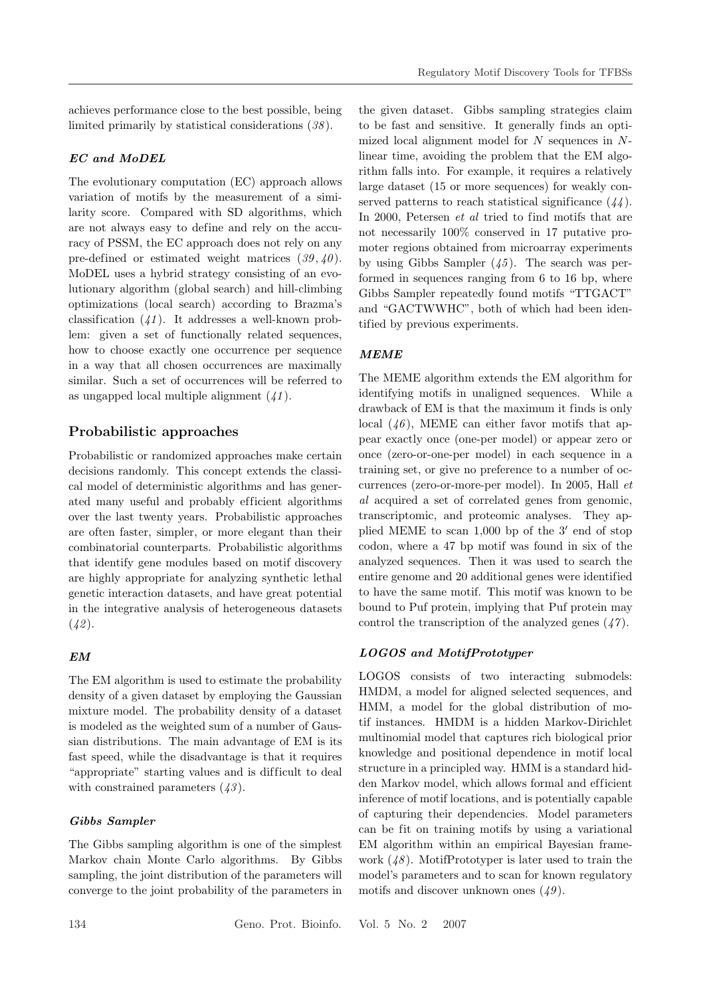## *EC and MoDEL*

The evolutionary computation (EC) approach allows variation of motifs by the measurement of a similarity score. Compared with SD algorithms, which are not always easy to define and rely on the accuracy of PSSM, the EC approach does not rely on any pre-defined or estimated weight matrices (*39 , 40* ). MoDEL uses a hybrid strategy consisting of an evolutionary algorithm (global search) and hill-climbing optimizations (local search) according to Brazma's classification (*41* ). It addresses a well-known problem: given a set of functionally related sequences, how to choose exactly one occurrence per sequence in a way that all chosen occurrences are maximally similar. Such a set of occurrences will be referred to as ungapped local multiple alignment (*41* ).

# **Probabilistic approaches**

Probabilistic or randomized approaches make certain decisions randomly. This concept extends the classical model of deterministic algorithms and has generated many useful and probably ef ficient algorithms over the last twenty years. Probabilistic approaches are often faster, simpler, or more elegant than their combinatorial counterparts. Probabilistic algorithms that identify gene modules based on motif discovery are highly appropriate for analyzing synthetic lethal genetic interaction datasets, and have great potential in the integrative analysis of heterogeneous datasets (*42* ).

## *EM*

The EM algorithm is used to estimate the probability density of a given dataset by employing the Gaussian mixture model. The probability density of a dataset is modeled as the weighted sum of a number of Gaussian distributions. The main advantage of EM is its fast speed, while the disadvantage is that it requires "appropriate" starting values and is difficult to deal with constrained parameters (*43* ).

## *Gibbs Sampler*

The Gibbs sampling algorithm is one of the simplest Markov chain Monte Carlo algorithms. By Gibbs sampling, the joint distribution of the parameters will converge to the joint probability of the parameters in

the given dataset. Gibbs sampling strategies claim to be fast and sensitive. It generally finds an optimized local alignment model for *N* sequences in *N*linear time, avoiding the problem that the EM algorithm falls into. For example, it requires a relatively large dataset (15 or more sequences) for weakly conserved patterns to reach statistical significance (*44* ). In 2000, Petersen *et al* tried to find motifs that are not necessarily 100% conserved in 17 putative promoter regions obtained from microarray experiments by using Gibbs Sampler (*45* ). The search was performed in sequences ranging from 6 to 16 bp, where Gibbs Sampler repeatedly found motifs "TTGACT" and "GACTWWHC", both of which had been identified by previous experiments.

## *MEME*

The MEME algorithm extends the EM algorithm for identifying motifs in unaligned sequences. While a drawback of EM is that the maximum it finds is only local (*46* ), MEME can either favor motifs that appear exactly once (one-per model) or appear zero or once (zero-or-one-per model) in each sequence in a training set, or give no preference to a number of occurrences (zero-or-more-per model). In 2005, Hall *et al* acquired a set of correlated genes from genomic, transcriptomic, and proteomic analyses. They applied MEME to scan  $1,000$  bp of the 3' end of stop codon, where a 47 bp motif was found in six of the analyzed sequences. Then it was used to search the entire genome and 20 additional genes were identified to have the same motif. This motif was known to be bound to Puf protein, implying that Puf protein may control the transcription of the analyzed genes (*47* ).

## *LOGOS and MotifPrototyper*

LOGOS consists of two interacting submodels: HMDM, a model for aligned selected sequences, and HMM, a model for the global distribution of motif instances. HMDM is a hidden Markov-Dirichlet multinomial model that captures rich biological prior knowledge and positional dependence in motif local structure in a principled way. HMM is a standard hidden Markov model, which allows formal and efficient inference of motif locations, and is potentially capable of capturing their dependencies. Model parameters can be fit on training motifs by using a variational EM algorithm within an empirical Bayesian framework (*48* ). MotifPrototyper is later used to train the model's parameters and to scan for known regulatory motifs and discover unknown ones (*49* ).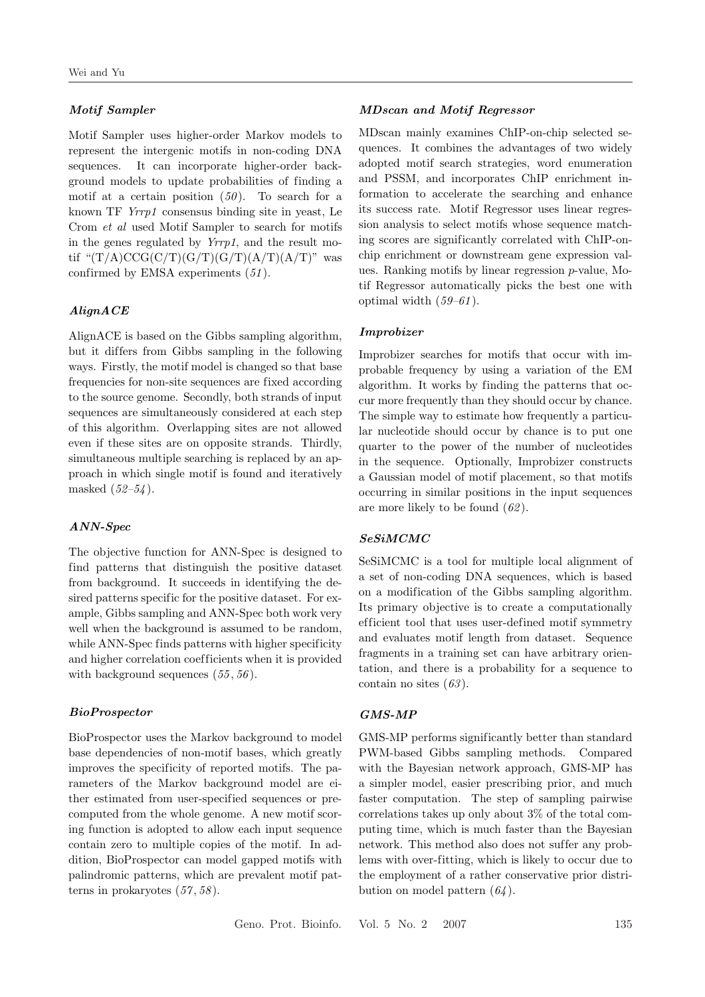#### *Motif Sampler*

Motif Sampler uses higher-order Markov models to represent the intergenic motifs in non-coding DNA sequences. It can incorporate higher-order background models to update probabilities of finding a motif at a certain position  $(50)$ . To search for a known TF *Yrrp1* consensus binding site in yeast, Le Crom *et al* used Motif Sampler to search for motifs in the genes regulated by *Yrrp1*, and the result motif " $(T/A)CCG(C/T)(G/T)(G/T)(A/T)(A/T)$ " was confirmed by EMSA experiments (*51* ).

#### *AlignACE*

AlignACE is based on the Gibbs sampling algorithm, but it differs from Gibbs sampling in the following ways. Firstly, the motif model is changed so that base frequencies for non-site sequences are fixed according to the source genome. Secondly, both strands of input sequences are simultaneously considered at each step of this algorithm. Overlapping sites are not allowed even if these sites are on opposite strands. Thirdly, simultaneous multiple searching is replaced by an approach in which single motif is found and iteratively masked (*52–54* ).

### *ANN-Spec*

The objective function for ANN-Spec is designed to find patterns that distinguish the positive dataset from background. It succeeds in identifying the desired patterns specific for the positive dataset. For example, Gibbs sampling and ANN-Spec both work very well when the background is assumed to be random, while ANN-Spec finds patterns with higher specificity and higher correlation coefficients when it is provided with background sequences (*55 , 56* ).

#### *BioProspector*

BioProspector uses the Markov background to model base dependencies of non-motif bases, which greatly improves the specificity of reported motifs. The parameters of the Markov background model are either estimated from user-specified sequences or precomputed from the whole genome. A new motif scoring function is adopted to allow each input sequence contain zero to multiple copies of the motif. In addition, BioProspector can model gapped motifs with palindromic patterns, which are prevalent motif patterns in prokaryotes (*57 , 58* ).

#### *MDscan and Motif Regressor*

MDscan mainly examines ChIP-on-chip selected sequences. It combines the advantages of two widely adopted motif search strategies, word enumeration and PSSM, and incorporates ChIP enrichment information to accelerate the searching and enhance its success rate. Motif Regressor uses linear regression analysis to select motifs whose sequence matching scores are significantly correlated with ChIP-onchip enrichment or downstream gene expression values. Ranking motifs by linear regression *p*-value, Motif Regressor automatically picks the best one with optimal width (*59–61* ).

#### *Improbizer*

Improbizer searches for motifs that occur with improbable frequency by using a variation of the EM algorithm. It works by finding the patterns that occur more frequently than they should occur by chance. The simple way to estimate how frequently a particular nucleotide should occur by chance is to put one quarter to the power of the number of nucleotides in the sequence. Optionally, Improbizer constructs a Gaussian model of motif placement, so that motifs occurring in similar positions in the input sequences are more likely to be found (*62* ).

### *SeSiMCMC*

SeSiMCMC is a tool for multiple local alignment of a set of non-coding DNA sequences, which is based on a modification of the Gibbs sampling algorithm. Its primary objective is to create a computationally ef ficient tool that uses user-defined motif symmetry and evaluates motif length from dataset. Sequence fragments in a training set can have arbitrary orientation, and there is a probability for a sequence to contain no sites (*63* ).

#### *GMS-MP*

GMS-MP performs significantly better than standard PWM-based Gibbs sampling methods. Compared with the Bayesian network approach, GMS-MP has a simpler model, easier prescribing prior, and much faster computation. The step of sampling pairwise correlations takes up only about 3% of the total computing time, which is much faster than the Bayesian network. This method also does not suffer any problems with over-fitting, which is likely to occur due to the employment of a rather conservative prior distribution on model pattern (*64* ).

Geno. Prot. Bioinfo. Vol. 5 No. 2 2007 135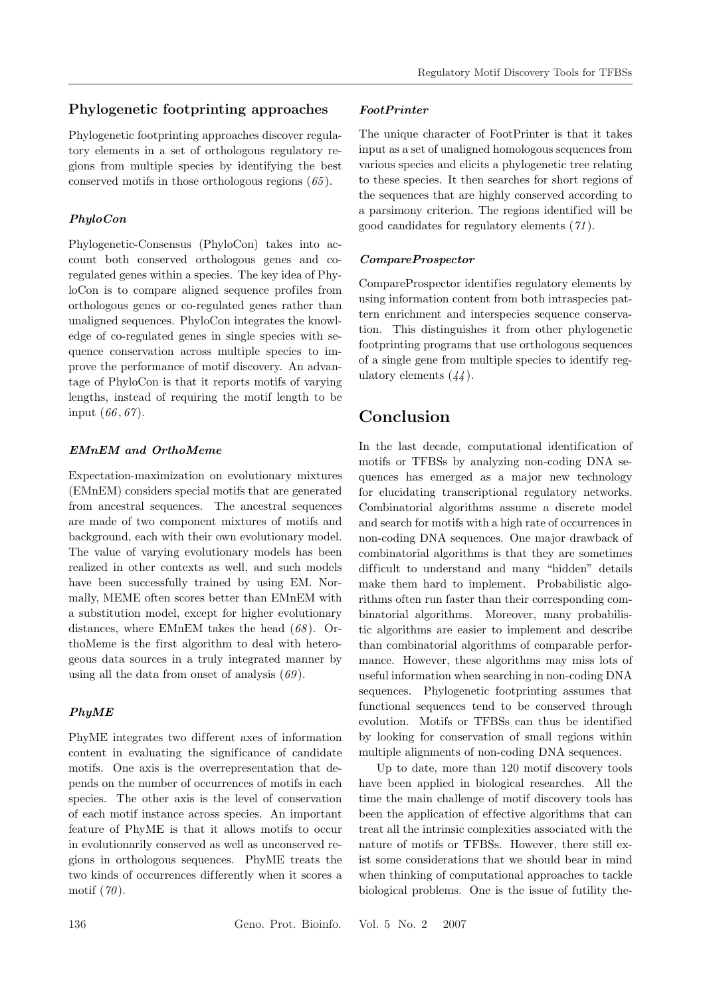## **Phylogenetic footprinting approaches**

Phylogenetic footprinting approaches discover regulatory elements in a set of orthologous regulatory regions from multiple species by identifying the best conserved motifs in those orthologous regions (*65* ).

#### *PhyloCon*

Phylogenetic-Consensus (PhyloCon) takes into account both conserved orthologous genes and coregulated genes within a species. The key idea of PhyloCon is to compare aligned sequence profiles from orthologous genes or co-regulated genes rather than unaligned sequences. PhyloCon integrates the knowledge of co-regulated genes in single species with sequence conservation across multiple species to improve the performance of motif discovery. An advantage of PhyloCon is that it reports motifs of varying lengths, instead of requiring the motif length to be input (*66 , 67* ).

#### *EMnEM and OrthoMeme*

Expectation-maximization on evolutionary mixtures (EMnEM) considers special motifs that are generated from ancestral sequences. The ancestral sequences are made of two component mixtures of motifs and background, each with their own evolutionary model. The value of varying evolutionary models has been realized in other contexts as well, and such models have been successfully trained by using EM. Normally, MEME often scores better than EMnEM with a substitution model, except for higher evolutionary distances, where EMnEM takes the head (*68* ). OrthoMeme is the first algorithm to deal with heterogeous data sources in a truly integrated manner by using all the data from onset of analysis (*69* ).

#### *PhyME*

PhyME integrates two different axes of information content in evaluating the significance of candidate motifs. One axis is the overrepresentation that depends on the number of occurrences of motifs in each species. The other axis is the level of conservation of each motif instance across species. An important feature of PhyME is that it allows motifs to occur in evolutionarily conserved as well as unconserved regions in orthologous sequences. PhyME treats the two kinds of occurrences differently when it scores a motif (*70* ).

#### *FootPrinter*

The unique character of FootPrinter is that it takes input as a set of unaligned homologous sequences from various species and elicits a phylogenetic tree relating to these species. It then searches for short regions of the sequences that are highly conserved according to a parsimony criterion. The regions identified will be good candidates for regulatory elements (*71* ).

#### *CompareProspector*

CompareProspector identifies regulatory elements by using information content from both intraspecies pattern enrichment and interspecies sequence conservation. This distinguishes it from other phylogenetic footprinting programs that use orthologous sequences of a single gene from multiple species to identify regulatory elements (*44* ).

# **Conclusion**

In the last decade, computational identification of motifs or TFBSs by analyzing non-coding DNA sequences has emerged as a major new technology for elucidating transcriptional regulatory networks. Combinatorial algorithms assume a discrete model and search for motifs with a high rate of occurrences in non-coding DNA sequences. One major drawback of combinatorial algorithms is that they are sometimes dif ficult to understand and many "hidden" details make them hard to implement. Probabilistic algorithms often run faster than their corresponding combinatorial algorithms. Moreover, many probabilistic algorithms are easier to implement and describe than combinatorial algorithms of comparable performance. However, these algorithms may miss lots of useful information when searching in non-coding DNA sequences. Phylogenetic footprinting assumes that functional sequences tend to be conserved through evolution. Motifs or TFBSs can thus be identified by looking for conservation of small regions within multiple alignments of non-coding DNA sequences.

Up to date, more than 120 motif discovery tools have been applied in biological researches. All the time the main challenge of motif discovery tools has been the application of effective algorithms that can treat all the intrinsic complexities associated with the nature of motifs or TFBSs. However, there still exist some considerations that we should bear in mind when thinking of computational approaches to tackle biological problems. One is the issue of futility the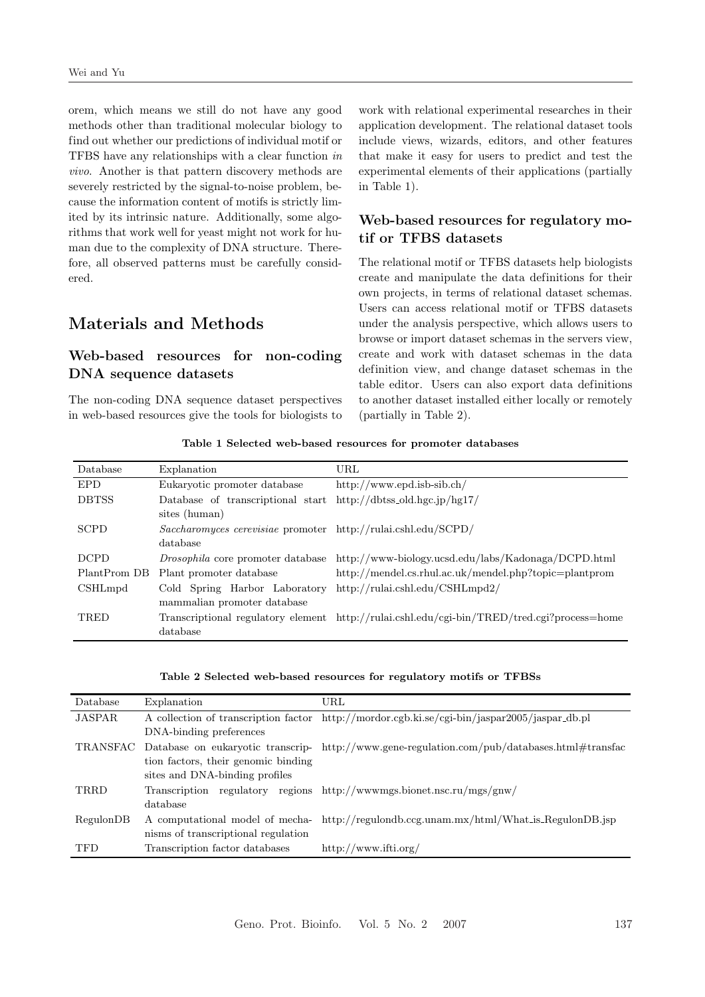orem, which means we still do not have any good methods other than traditional molecular biology to find out whether our predictions of individual motif or TFBS have any relationships with a clear function *in vivo*. Another is that pattern discovery methods are severely restricted by the signal-to-noise problem, because the information content of motifs is strictly limited by its intrinsic nature. Additionally, some algorithms that work well for yeast might not work for human due to the complexity of DNA structure. Therefore, all observed patterns must be carefully considered.

# **Materials and Methods**

# **Web-based resources for non-coding DNA sequence datasets**

The non-coding DNA sequence dataset perspectives in web-based resources give the tools for biologists to

work with relational experimental researches in their application development. The relational dataset tools include views, wizards, editors, and other features that make it easy for users to predict and test the experimental elements of their applications (partially in Table 1).

## **Web-based resources for regulatory motif or TFBS datasets**

The relational motif or TFBS datasets help biologists create and manipulate the data definitions for their own projects, in terms of relational dataset schemas. Users can access relational motif or TFBS datasets under the analysis perspective, which allows users to browse or import dataset schemas in the servers view, create and work with dataset schemas in the data definition view, and change dataset schemas in the table editor. Users can also export data definitions to another dataset installed either locally or remotely (partially in Table 2).

| Database     | Explanation                                                               | URL                                                                                         |
|--------------|---------------------------------------------------------------------------|---------------------------------------------------------------------------------------------|
| <b>EPD</b>   | Eukaryotic promoter database                                              | http://www.epd.isb-sib.ch/                                                                  |
| <b>DBTSS</b> | Database of transcriptional start<br>sites (human)                        | http://dbtss_old.hgc.jp/hg17/                                                               |
| <b>SCPD</b>  | Saccharomyces cerevisiae promoter http://rulai.cshl.edu/SCPD/<br>database |                                                                                             |
| <b>DCPD</b>  | <i>Drosophila</i> core promoter database                                  | http://www-biology.ucsd.edu/labs/Kadonaga/DCPD.html                                         |
| PlantProm DB | Plant promoter database                                                   | http://mendel.cs.rhul.ac.uk/mendel.php?topic=plantprom                                      |
| CSHLmpd      | Cold Spring Harbor Laboratory<br>mammalian promoter database              | http://rulai.cshl.edu/CSHLmpd2/                                                             |
| <b>TRED</b>  | database                                                                  | Transcriptional regulatory element http://rulai.cshl.edu/cgi-bin/TRED/tred.cgi?process=home |

|  | Table 1 Selected web-based resources for promoter databases |  |  |  |
|--|-------------------------------------------------------------|--|--|--|
|--|-------------------------------------------------------------|--|--|--|

| Database      | Explanation                          | URL                                                                                          |
|---------------|--------------------------------------|----------------------------------------------------------------------------------------------|
| <b>JASPAR</b> | A collection of transcription factor | http://mordor.cgb.ki.se/cgi-bin/jaspar2005/jaspar_db.pl                                      |
|               | DNA-binding preferences              |                                                                                              |
| TRANSFAC      |                                      | Database on eukaryotic transcrip- http://www.gene-regulation.com/pub/databases.html#transfac |
|               | tion factors, their genomic binding  |                                                                                              |
|               | sites and DNA-binding profiles       |                                                                                              |
| <b>TRRD</b>   | Transcription                        | regulatory regions http://www.mgs.bionet.nsc.ru/mgs/gnw/                                     |
|               | database                             |                                                                                              |
| RegulonDB     | A computational model of mecha-      | http://regulondb.ccg.unam.mx/html/What_is_RegulonDB.jsp                                      |
|               | nisms of transcriptional regulation  |                                                                                              |
| <b>TFD</b>    | Transcription factor databases       | http://www.ifti.org/                                                                         |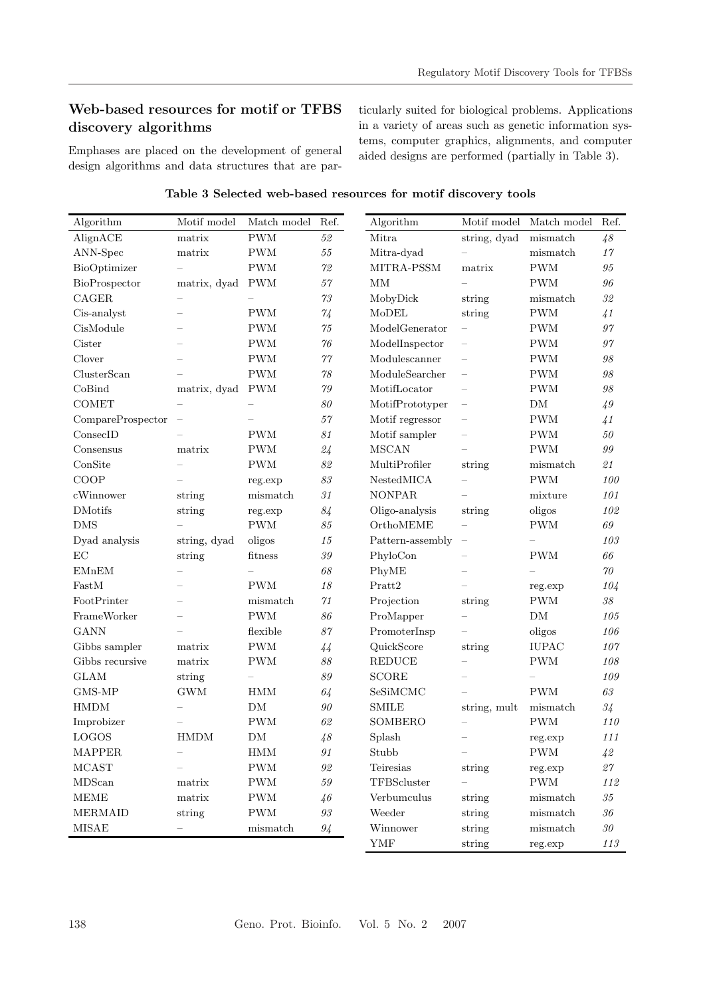# **Web-based resources for motif or TFBS discovery algorithms**

Emphases are placed on the development of general design algorithms and data structures that are particularly suited for biological problems. Applications in a variety of areas such as genetic information systems, computer graphics, alignments, and computer aided designs are performed (partially in Table 3).

| Table 3 Selected web-based resources for motif discovery tools |  |  |  |  |  |  |  |
|----------------------------------------------------------------|--|--|--|--|--|--|--|
|----------------------------------------------------------------|--|--|--|--|--|--|--|

| Algorithm         | Motif model              | Match model                         | Ref.                          | Algorithm                                         | $\operatorname{\bf Motif}$ model | Match model                         | Ref.                               |
|-------------------|--------------------------|-------------------------------------|-------------------------------|---------------------------------------------------|----------------------------------|-------------------------------------|------------------------------------|
| AlignACE          | matrix                   | $\mathrm{PWM}$                      | $5\mathrm{\,}2$               | Mitra                                             | string, dyad                     | $\it mismatch$                      | 48                                 |
| ANN-Spec          | matrix                   | $\mathcal{P}\mathcal{W}\mathcal{M}$ | $\sqrt{55}$                   | Mitra-dyad                                        |                                  | mismatch                            | $17\,$                             |
| BioOptimizer      |                          | <b>PWM</b>                          | 72                            | MITRA-PSSM                                        | matrix                           | <b>PWM</b>                          | $\ensuremath{g_{\text{5}}}\xspace$ |
| BioProspector     | matrix, dyad             | PWM                                 | $57\,$                        | MM                                                |                                  | <b>PWM</b>                          | $96\,$                             |
| CAGER             |                          |                                     | $7\mskip-5mu\beta$            | MobyDick                                          | string                           | mismatch                            | 32                                 |
| Cis-analyst       |                          | <b>PWM</b>                          | $\gamma_4$                    | MoDEL                                             | string                           | $\mathrm{PWM}$                      | 41                                 |
| CisModule         |                          | <b>PWM</b>                          | $75\,$                        | ModelGenerator                                    | $\overline{\phantom{0}}$         | <b>PWM</b>                          | $97\,$                             |
| Cister            |                          | <b>PWM</b>                          | 76                            | ModelInspector                                    | $\equiv$                         | $\mathcal{P}\mathcal{W}\mathcal{M}$ | $97\,$                             |
| Clover            |                          | <b>PWM</b>                          | $\gamma\gamma$                | Modulescanner                                     | $\equiv$                         | <b>PWM</b>                          | $g_{\mathcal{S}}$                  |
| ClusterScan       |                          | <b>PWM</b>                          | $\boldsymbol{78}$             | ModuleSearcher                                    |                                  | $\mathrm{PWM}$                      | $g\mathfrak{g}$                    |
| CoBind            | matrix, dyad PWM         |                                     | $\gamma g$                    | MotifLocator                                      |                                  | <b>PWM</b>                          | $g_{\mathcal{S}}$                  |
| <b>COMET</b>      |                          |                                     | $\mathcal{S}0$                | MotifPrototyper                                   | $\overline{\phantom{0}}$         | DM                                  | 49                                 |
| CompareProspector | $\overline{\phantom{m}}$ |                                     | $57\,$                        | Motif regressor                                   |                                  | <b>PWM</b>                          | 41                                 |
| ConsecID          |                          | <b>PWM</b>                          | 81                            | Motif sampler                                     |                                  | $\mathcal{P}\mathcal{W}\mathcal{M}$ | $5\theta$                          |
| Consensus         | matrix                   | <b>PWM</b>                          | $\mathcal{Q} \mathcal{L}$     | <b>MSCAN</b>                                      | ÷                                | <b>PWM</b>                          | $g g$                              |
| ConSite           |                          | <b>PWM</b>                          | $\mathcal{8}\mathcal{2}$      | MultiProfiler                                     | string                           | mismatch                            | $\mathcal{Q}1$                     |
| COOP              |                          | reg.exp                             | $\mathcal{S}\mathcal{S}$      | NestedMICA                                        |                                  | <b>PWM</b>                          | 100                                |
| cWinnower         | string                   | mismatch                            | $31\,$                        | <b>NONPAR</b>                                     | $\equiv$                         | mixture                             | 101                                |
| <b>DMotifs</b>    | string                   | reg.exp                             | 84                            | Oligo-analysis                                    | string                           | oligos                              | 102                                |
| <b>DMS</b>        |                          | $\mathrm{PWM}$                      | $85\,$                        | OrthoMEME                                         |                                  | $\mathcal{P}\mathcal{W}\mathcal{M}$ | $69\,$                             |
| Dyad analysis     | string, dyad             | oligos                              | 15                            | Pattern-assembly                                  | $\overline{\phantom{a}}$         |                                     | 103                                |
| EC                | string                   | fitness                             | $\it 39$                      | PhyloCon                                          | $\equiv$                         | <b>PWM</b>                          | 66                                 |
| EMnEM             |                          |                                     | 68                            | PhyME                                             | $\equiv$                         |                                     | $\gamma\varrho$                    |
| FastM             |                          | <b>PWM</b>                          | 18                            | Pratt2                                            | $\overline{\phantom{0}}$         | reg.exp                             | 104                                |
| FootPrinter       |                          | mismatch                            | $\gamma_{1}$                  | Projection                                        | string                           | <b>PWM</b>                          | $\mathcal{S}\mathcal{S}$           |
| FrameWorker       |                          | <b>PWM</b>                          | 86                            | ProMapper                                         |                                  | DM                                  | 105                                |
| <b>GANN</b>       |                          | flexible                            | $87\,$                        | PromoterInsp                                      |                                  | oligos                              | 106                                |
| Gibbs sampler     | matrix                   | <b>PWM</b>                          | 44                            | QuickScore                                        | string                           | <b>IUPAC</b>                        | 107                                |
| Gibbs recursive   | matrix                   | <b>PWM</b>                          | $88\,$                        | <b>REDUCE</b>                                     |                                  | $\mathrm{PWM}$                      | 108                                |
| <b>GLAM</b>       | string                   | $\equiv$                            | 89                            | <b>SCORE</b>                                      | $\qquad \qquad -$                | $\overline{\phantom{0}}$            | 109                                |
| $GMS-MP$          | $\operatorname{GWM}$     | <b>HMM</b>                          | 64                            | SeSiMCMC                                          |                                  | <b>PWM</b>                          | $6\sqrt{3}$                        |
| <b>HMDM</b>       |                          | DM                                  | $\mathfrak{g}_{0}$            | <b>SMILE</b>                                      | string, mult                     | mismatch                            | $\sqrt{34}$                        |
| Improbizer        |                          | <b>PWM</b>                          | 62                            | <b>SOMBERO</b>                                    |                                  | <b>PWM</b>                          | 110                                |
| LOGOS             | <b>HMDM</b>              | DM                                  | 48                            | Splash                                            |                                  | reg.exp                             | 111                                |
| <b>MAPPER</b>     |                          | $\operatorname{HMM}$                | $\mathfrak{g}_{\mathfrak{1}}$ | Stubb                                             |                                  | <b>PWM</b>                          | 42                                 |
| <b>MCAST</b>      |                          | <b>PWM</b>                          | $g\mathfrak{g}$               | Teiresias                                         | string                           | reg.exp                             | $\it 27$                           |
| MDScan            | matrix                   | $\mathrm{PWM}$                      | $59\,$                        | TFBScluster                                       |                                  | $\mathcal{P}\mathcal{W}\mathcal{M}$ | 112                                |
| MEME              | matrix                   | $\mathrm{PWM}$                      | $\overline{46}$               | Verbumculus                                       | string                           | mismatch                            | $\sqrt{35}$                        |
| <b>MERMAID</b>    | string                   | <b>PWM</b>                          | $\mathcal{G}\mathcal{G}$      | Weeder                                            | string                           | mismatch                            | $\it 36$                           |
| <b>MISAE</b>      |                          | mismatch                            | $94\,$                        | Winnower                                          | string                           | $\it mismatch$                      | $\mathcal{S} \mathcal{O}$          |
|                   |                          |                                     |                               | $\ensuremath{\mathsf{YM}}\ensuremath{\mathsf{F}}$ | string                           | reg.exp                             | $113\,$                            |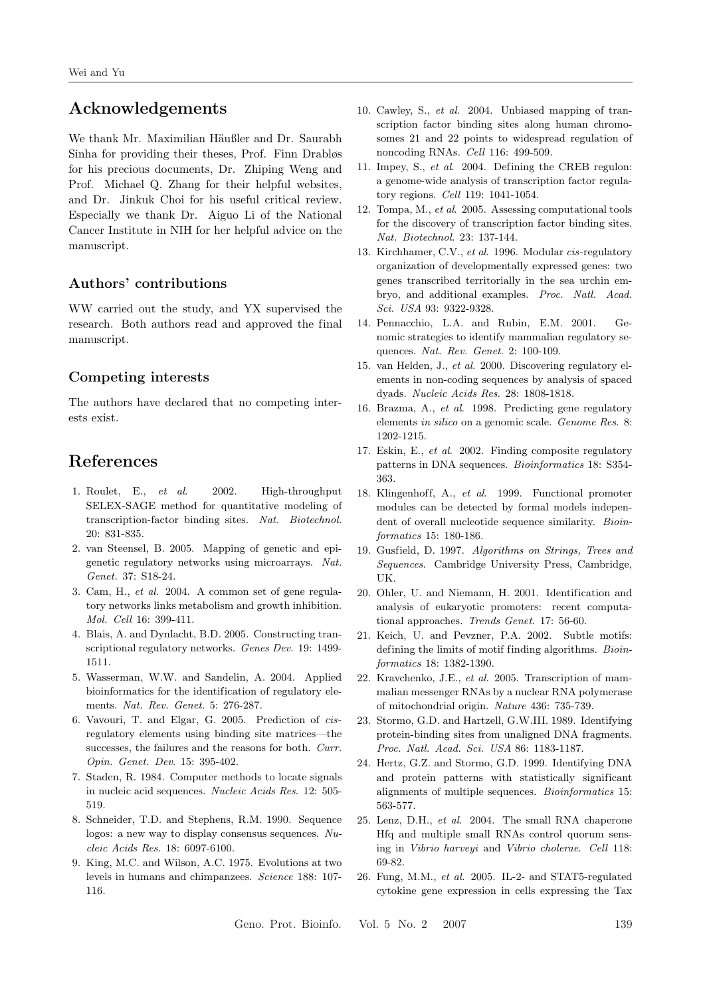# **Acknowledgements**

We thank Mr. Maximilian Häußler and Dr. Saurabh Sinha for providing their theses, Prof. Finn Drabløs for his precious documents, Dr. Zhiping Weng and Prof. Michael Q. Zhang for their helpful websites, and Dr. Jinkuk Choi for his useful critical review. Especially we thank Dr. Aiguo Li of the National Cancer Institute in NIH for her helpful advice on the manuscript.

### **Authors' contributions**

WW carried out the study, and YX supervised the research. Both authors read and approved the final manuscript.

#### **Competing interests**

The authors have declared that no competing interests exist.

## **References**

- 1. Roulet, E., *et al*. 2002. High-throughput SELEX-SAGE method for quantitative modeling of transcription-factor binding sites. *Nat. Biotechnol.* 20: 831-835.
- 2. van Steensel, B. 2005. Mapping of genetic and epigenetic regulatory networks using microarrays. *Nat. Genet.* 37: S18-24.
- 3. Cam, H., *et al*. 2004. A common set of gene regulatory networks links metabolism and growth inhibition. *Mol. Cell* 16: 399-411.
- 4. Blais, A. and Dynlacht, B.D. 2005. Constructing transcriptional regulatory networks. *Genes Dev*. 19: 1499- 1511.
- 5. Wasserman, W.W. and Sandelin, A. 2004. Applied bioinformatics for the identification of regulatory elements. *Nat. Rev. Genet*. 5: 276-287.
- 6. Vavouri, T. and Elgar, G. 2005. Prediction of *cis*regulatory elements using binding site matrices—the successes, the failures and the reasons for both. *Curr. Opin. Genet. Dev*. 15: 395-402.
- 7. Staden, R. 1984. Computer methods to locate signals in nucleic acid sequences. *Nucleic Acids Res*. 12: 505- 519.
- 8. Schneider, T.D. and Stephens, R.M. 1990. Sequence logos: a new way to display consensus sequences. *Nucleic Acids Res*. 18: 6097-6100.
- 9. King, M.C. and Wilson, A.C. 1975. Evolutions at two levels in humans and chimpanzees. *Science* 188: 107- 116.
- 10. Cawley, S., *et al*. 2004. Unbiased mapping of transcription factor binding sites along human chromosomes 21 and 22 points to widespread regulation of noncoding RNAs. *Cell* 116: 499-509.
- 11. Impey, S., *et al*. 2004. Defining the CREB regulon: a genome-wide analysis of transcription factor regulatory regions. *Cell* 119: 1041-1054.
- 12. Tompa, M., *et al*. 2005. Assessing computational tools for the discovery of transcription factor binding sites. *Nat. Biotechnol*. 23: 137-144.
- 13. Kirchhamer, C.V., *et al*. 1996. Modular *cis*-regulatory organization of developmentally expressed genes: two genes transcribed territorially in the sea urchin embryo, and additional examples. *Proc. Natl. Acad. Sci. USA* 93: 9322-9328.
- 14. Pennacchio, L.A. and Rubin, E.M. 2001. Genomic strategies to identify mammalian regulatory sequences. *Nat. Rev. Genet*. 2: 100-109.
- 15. van Helden, J., *et al*. 2000. Discovering regulatory elements in non-coding sequences by analysis of spaced dyads. *Nucleic Acids Res*. 28: 1808-1818.
- 16. Brazma, A., *et al*. 1998. Predicting gene regulatory elements *in silico* on a genomic scale. *Genome Res*. 8: 1202-1215.
- 17. Eskin, E., *et al*. 2002. Finding composite regulatory patterns in DNA sequences. *Bioinformatics* 18: S354- 363.
- 18. Klingenhoff, A., *et al.* 1999. Functional promoter modules can be detected by formal models independent of overall nucleotide sequence similarity. *Bioinformatics* 15: 180-186.
- 19. Gusfield, D. 1997. *Algorithms on Strings, Trees and Sequences*. Cambridge University Press, Cambridge, UK.
- 20. Ohler, U. and Niemann, H. 2001. Identification and analysis of eukaryotic promoters: recent computational approaches. *Trends Genet*. 17: 56-60.
- 21. Keich, U. and Pevzner, P.A. 2002. Subtle motifs: defining the limits of motif finding algorithms. *Bioinformatics* 18: 1382-1390.
- 22. Kravchenko, J.E., *et al*. 2005. Transcription of mammalian messenger RNAs by a nuclear RNA polymerase of mitochondrial origin. *Nature* 436: 735-739.
- 23. Stormo, G.D. and Hartzell, G.W.III. 1989. Identifying protein-binding sites from unaligned DNA fragments. *Proc. Natl. Acad. Sci. USA* 86: 1183-1187.
- 24. Hertz, G.Z. and Stormo, G.D. 1999. Identifying DNA and protein patterns with statistically significant alignments of multiple sequences. *Bioinformatics* 15: 563-577.
- 25. Lenz, D.H., *et al*. 2004. The small RNA chaperone Hfq and multiple small RNAs control quorum sensing in *Vibrio harveyi* and *Vibrio cholerae*. *Cell* 118: 69-82.
- 26. Fung, M.M., *et al*. 2005. IL-2- and STAT5-regulated cytokine gene expression in cells expressing the Tax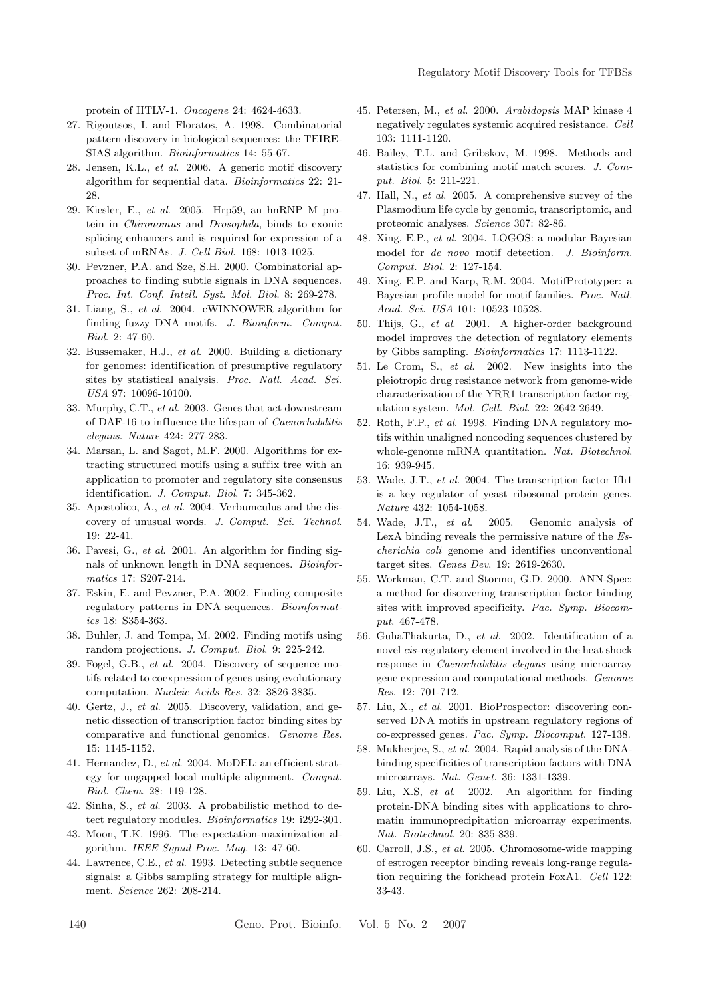protein of HTLV-1. *Oncogene* 24: 4624-4633.

- 27. Rigoutsos, I. and Floratos, A. 1998. Combinatorial pattern discovery in biological sequences: the TEIRE-SIAS algorithm. *Bioinformatics* 14: 55-67.
- 28. Jensen, K.L., *et al*. 2006. A generic motif discovery algorithm for sequential data. *Bioinformatics* 22: 21- 28.
- 29. Kiesler, E., *et al*. 2005. Hrp59, an hnRNP M protein in *Chironomus* and *Drosophila*, binds to exonic splicing enhancers and is required for expression of a subset of mRNAs. *J. Cell Biol*. 168: 1013-1025.
- 30. Pevzner, P.A. and Sze, S.H. 2000. Combinatorial approaches to finding subtle signals in DNA sequences. *Proc. Int. Conf. Intell. Syst. Mol. Biol*. 8: 269-278.
- 31. Liang, S., *et al*. 2004. cWINNOWER algorithm for finding fuzzy DNA motifs. *J. Bioinform. Comput. Biol*. 2: 47-60.
- 32. Bussemaker, H.J., *et al*. 2000. Building a dictionary for genomes: identification of presumptive regulatory sites by statistical analysis. *Proc. Natl. Acad. Sci. USA* 97: 10096-10100.
- 33. Murphy, C.T., *et al*. 2003. Genes that act downstream of DAF-16 to influence the lifespan of *Caenorhabditis elegans*. *Nature* 424: 277-283.
- 34. Marsan, L. and Sagot, M.F. 2000. Algorithms for extracting structured motifs using a suffix tree with an application to promoter and regulatory site consensus identification. *J. Comput. Biol*. 7: 345-362.
- 35. Apostolico, A., *et al*. 2004. Verbumculus and the discovery of unusual words. *J. Comput. Sci. Technol*. 19: 22-41.
- 36. Pavesi, G., *et al*. 2001. An algorithm for finding signals of unknown length in DNA sequences. *Bioinformatics* 17: S207-214.
- 37. Eskin, E. and Pevzner, P.A. 2002. Finding composite regulatory patterns in DNA sequences. *Bioinformatics* 18: S354-363.
- 38. Buhler, J. and Tompa, M. 2002. Finding motifs using random projections. *J. Comput. Biol*. 9: 225-242.
- 39. Fogel, G.B., *et al*. 2004. Discovery of sequence motifs related to coexpression of genes using evolutionary computation. *Nucleic Acids Res*. 32: 3826-3835.
- 40. Gertz, J., *et al*. 2005. Discovery, validation, and genetic dissection of transcription factor binding sites by comparative and functional genomics. *Genome Res*. 15: 1145-1152.
- 41. Hernandez, D., *et al.* 2004. MoDEL: an efficient strategy for ungapped local multiple alignment. *Comput. Biol. Chem*. 28: 119-128.
- 42. Sinha, S., *et al*. 2003. A probabilistic method to detect regulatory modules. *Bioinformatics* 19: i292-301.
- 43. Moon, T.K. 1996. The expectation-maximization algorithm. *IEEE Signal Proc. Mag.* 13: 47-60.
- 44. Lawrence, C.E., *et al*. 1993. Detecting subtle sequence signals: a Gibbs sampling strategy for multiple alignment. *Science* 262: 208-214.
- 45. Petersen, M., *et al*. 2000. *Arabidopsis* MAP kinase 4 negatively regulates systemic acquired resistance. *Cell* 103: 1111-1120.
- 46. Bailey, T.L. and Gribskov, M. 1998. Methods and statistics for combining motif match scores. *J. Comput. Biol*. 5: 211-221.
- 47. Hall, N., *et al*. 2005. A comprehensive survey of the Plasmodium life cycle by genomic, transcriptomic, and proteomic analyses. *Science* 307: 82-86.
- 48. Xing, E.P., *et al*. 2004. LOGOS: a modular Bayesian model for *de novo* motif detection. *J. Bioinform. Comput. Biol*. 2: 127-154.
- 49. Xing, E.P. and Karp, R.M. 2004. MotifPrototyper: a Bayesian profile model for motif families. *Proc. Natl. Acad. Sci. USA* 101: 10523-10528.
- 50. Thijs, G., *et al*. 2001. A higher-order background model improves the detection of regulatory elements by Gibbs sampling. *Bioinformatics* 17: 1113-1122.
- 51. Le Crom, S., *et al*. 2002. New insights into the pleiotropic drug resistance network from genome-wide characterization of the YRR1 transcription factor regulation system. *Mol. Cell. Biol*. 22: 2642-2649.
- 52. Roth, F.P., *et al*. 1998. Finding DNA regulatory motifs within unaligned noncoding sequences clustered by whole-genome mRNA quantitation. *Nat. Biotechnol*. 16: 939-945.
- 53. Wade, J.T., *et al*. 2004. The transcription factor Ifh1 is a key regulator of yeast ribosomal protein genes. *Nature* 432: 1054-1058.
- 54. Wade, J.T., *et al*. 2005. Genomic analysis of LexA binding reveals the permissive nature of the *Escherichia coli* genome and identifies unconventional target sites. *Genes Dev*. 19: 2619-2630.
- 55. Workman, C.T. and Stormo, G.D. 2000. ANN-Spec: a method for discovering transcription factor binding sites with improved specificity. *Pac. Symp. Biocomput*. 467-478.
- 56. GuhaThakurta, D., *et al*. 2002. Identification of a novel *cis*-regulatory element involved in the heat shock response in *Caenorhabditis elegans* using microarray gene expression and computational methods. *Genome Res*. 12: 701-712.
- 57. Liu, X., *et al*. 2001. BioProspector: discovering conserved DNA motifs in upstream regulatory regions of co-expressed genes. *Pac. Symp. Biocomput*. 127-138.
- 58. Mukherjee, S., *et al*. 2004. Rapid analysis of the DNAbinding specificities of transcription factors with DNA microarrays. *Nat. Genet*. 36: 1331-1339.
- 59. Liu, X.S, *et al*. 2002. An algorithm for finding protein-DNA binding sites with applications to chromatin immunoprecipitation microarray experiments. *Nat. Biotechnol*. 20: 835-839.
- 60. Carroll, J.S., *et al*. 2005. Chromosome-wide mapping of estrogen receptor binding reveals long-range regulation requiring the forkhead protein FoxA1. *Cell* 122: 33-43.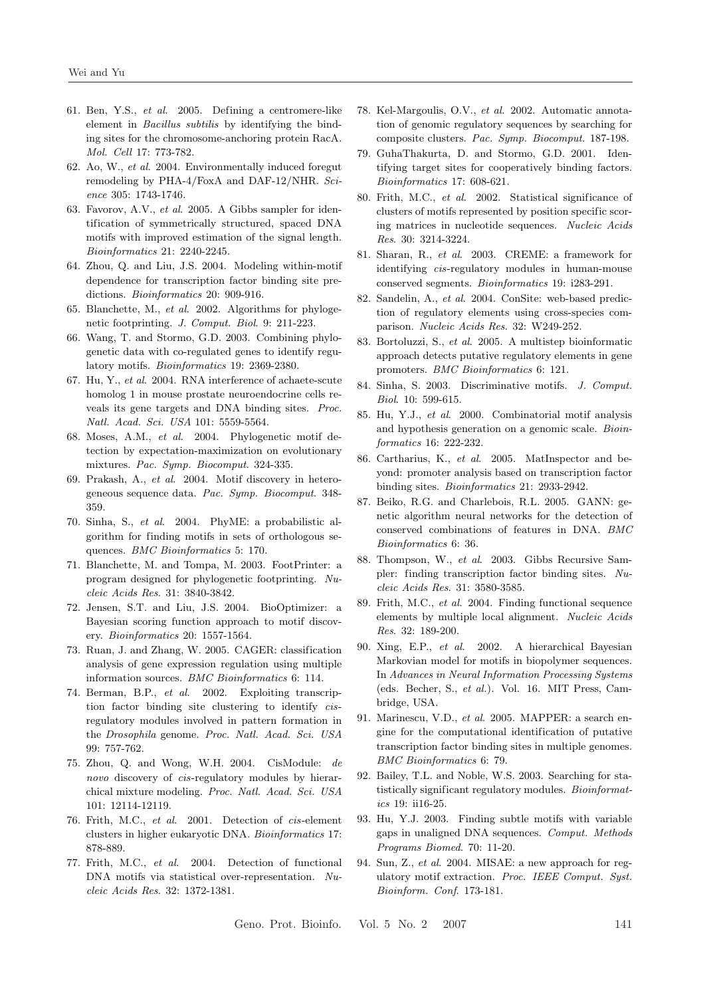- 61. Ben, Y.S., *et al*. 2005. Defining a centromere-like element in *Bacillus subtilis* by identifying the binding sites for the chromosome-anchoring protein RacA. *Mol. Cell* 17: 773-782.
- 62. Ao, W., *et al*. 2004. Environmentally induced foregut remodeling by PHA-4/FoxA and DAF-12/NHR. *Science* 305: 1743-1746.
- 63. Favorov, A.V., *et al*. 2005. A Gibbs sampler for identification of symmetrically structured, spaced DNA motifs with improved estimation of the signal length. *Bioinformatics* 21: 2240-2245.
- 64. Zhou, Q. and Liu, J.S. 2004. Modeling within-motif dependence for transcription factor binding site predictions. *Bioinformatics* 20: 909-916.
- 65. Blanchette, M., *et al*. 2002. Algorithms for phylogenetic footprinting. *J. Comput. Biol*. 9: 211-223.
- 66. Wang, T. and Stormo, G.D. 2003. Combining phylogenetic data with co-regulated genes to identify regulatory motifs. *Bioinformatics* 19: 2369-2380.
- 67. Hu, Y., *et al*. 2004. RNA interference of achaete-scute homolog 1 in mouse prostate neuroendocrine cells reveals its gene targets and DNA binding sites. *Proc. Natl. Acad. Sci. USA* 101: 5559-5564.
- 68. Moses, A.M., *et al*. 2004. Phylogenetic motif detection by expectation-maximization on evolutionary mixtures. *Pac. Symp. Biocomput*. 324-335.
- 69. Prakash, A., *et al*. 2004. Motif discovery in heterogeneous sequence data. *Pac. Symp. Biocomput*. 348- 359.
- 70. Sinha, S., *et al*. 2004. PhyME: a probabilistic algorithm for finding motifs in sets of orthologous sequences. *BMC Bioinformatics* 5: 170.
- 71. Blanchette, M. and Tompa, M. 2003. FootPrinter: a program designed for phylogenetic footprinting. *Nucleic Acids Res*. 31: 3840-3842.
- 72. Jensen, S.T. and Liu, J.S. 2004. BioOptimizer: a Bayesian scoring function approach to motif discovery. *Bioinformatics* 20: 1557-1564.
- 73. Ruan, J. and Zhang, W. 2005. CAGER: classification analysis of gene expression regulation using multiple information sources. *BMC Bioinformatics* 6: 114.
- 74. Berman, B.P., *et al*. 2002. Exploiting transcription factor binding site clustering to identify *cis*regulatory modules involved in pattern formation in the *Drosophila* genome. *Proc. Natl. Acad. Sci. USA* 99: 757-762.
- 75. Zhou, Q. and Wong, W.H. 2004. CisModule: *de novo* discovery of *cis*-regulatory modules by hierarchical mixture modeling. *Proc. Natl. Acad. Sci. USA* 101: 12114-12119.
- 76. Frith, M.C., *et al*. 2001. Detection of *cis*-element clusters in higher eukaryotic DNA. *Bioinformatics* 17: 878-889.
- 77. Frith, M.C., *et al*. 2004. Detection of functional DNA motifs via statistical over-representation. *Nucleic Acids Res*. 32: 1372-1381.
- 78. Kel-Margoulis, O.V., *et al*. 2002. Automatic annotation of genomic regulatory sequences by searching for composite clusters. *Pac. Symp. Biocomput*. 187-198.
- 79. GuhaThakurta, D. and Stormo, G.D. 2001. Identifying target sites for cooperatively binding factors. *Bioinformatics* 17: 608-621.
- 80. Frith, M.C., *et al*. 2002. Statistical significance of clusters of motifs represented by position specific scoring matrices in nucleotide sequences. *Nucleic Acids Res*. 30: 3214-3224.
- 81. Sharan, R., *et al*. 2003. CREME: a framework for identifying *cis*-regulatory modules in human-mouse conserved segments. *Bioinformatics* 19: i283-291.
- 82. Sandelin, A., *et al*. 2004. ConSite: web-based prediction of regulatory elements using cross-species comparison. *Nucleic Acids Res*. 32: W249-252.
- 83. Bortoluzzi, S., *et al*. 2005. A multistep bioinformatic approach detects putative regulatory elements in gene promoters. *BMC Bioinformatics* 6: 121.
- 84. Sinha, S. 2003. Discriminative motifs. *J. Comput. Biol*. 10: 599-615.
- 85. Hu, Y.J., *et al*. 2000. Combinatorial motif analysis and hypothesis generation on a genomic scale. *Bioinformatics* 16: 222-232.
- 86. Cartharius, K., *et al*. 2005. MatInspector and beyond: promoter analysis based on transcription factor binding sites. *Bioinformatics* 21: 2933-2942.
- 87. Beiko, R.G. and Charlebois, R.L. 2005. GANN: genetic algorithm neural networks for the detection of conserved combinations of features in DNA. *BMC Bioinformatics* 6: 36.
- 88. Thompson, W., *et al*. 2003. Gibbs Recursive Sampler: finding transcription factor binding sites. *Nucleic Acids Res*. 31: 3580-3585.
- 89. Frith, M.C., *et al*. 2004. Finding functional sequence elements by multiple local alignment. *Nucleic Acids Res*. 32: 189-200.
- 90. Xing, E.P., *et al*. 2002. A hierarchical Bayesian Markovian model for motifs in biopolymer sequences. In *Advances in Neural Information Processing Systems* (eds. Becher, S., *et al.*). Vol. 16. MIT Press, Cambridge, USA.
- 91. Marinescu, V.D., *et al*. 2005. MAPPER: a search engine for the computational identification of putative transcription factor binding sites in multiple genomes. *BMC Bioinformatics* 6: 79.
- 92. Bailey, T.L. and Noble, W.S. 2003. Searching for statistically significant regulatory modules. *Bioinformatics* 19: ii16-25.
- 93. Hu, Y.J. 2003. Finding subtle motifs with variable gaps in unaligned DNA sequences. *Comput. Methods Programs Biomed*. 70: 11-20.
- 94. Sun, Z., *et al*. 2004. MISAE: a new approach for regulatory motif extraction. *Proc. IEEE Comput. Syst. Bioinform. Conf*. 173-181.